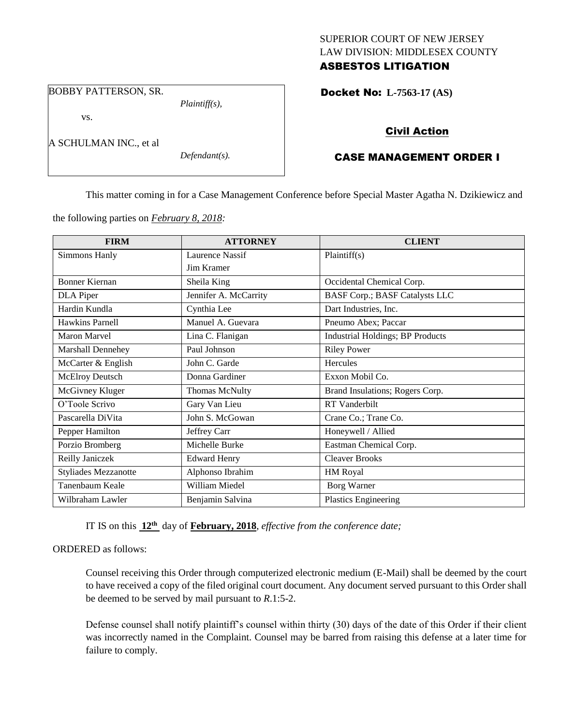### SUPERIOR COURT OF NEW JERSEY LAW DIVISION: MIDDLESEX COUNTY ASBESTOS LITIGATION

BOBBY PATTERSON, SR.

vs.

A SCHULMAN INC., et al

*Defendant(s).*

*Plaintiff(s),*

Docket No: **L-7563-17 (AS)** 

# Civil Action

# CASE MANAGEMENT ORDER I

This matter coming in for a Case Management Conference before Special Master Agatha N. Dzikiewicz and

the following parties on *February 8, 2018:*

| <b>FIRM</b>                 | <b>ATTORNEY</b>       | <b>CLIENT</b>                           |
|-----------------------------|-----------------------|-----------------------------------------|
| Simmons Hanly               | Laurence Nassif       | Plaintiff(s)                            |
|                             | Jim Kramer            |                                         |
| <b>Bonner Kiernan</b>       | Sheila King           | Occidental Chemical Corp.               |
| DLA Piper                   | Jennifer A. McCarrity | <b>BASF Corp.; BASF Catalysts LLC</b>   |
| Hardin Kundla               | Cynthia Lee           | Dart Industries, Inc.                   |
| Hawkins Parnell             | Manuel A. Guevara     | Pneumo Abex; Paccar                     |
| <b>Maron Marvel</b>         | Lina C. Flanigan      | <b>Industrial Holdings; BP Products</b> |
| <b>Marshall Dennehey</b>    | Paul Johnson          | <b>Riley Power</b>                      |
| McCarter & English          | John C. Garde         | Hercules                                |
| McElroy Deutsch             | Donna Gardiner        | Exxon Mobil Co.                         |
| McGivney Kluger             | <b>Thomas McNulty</b> | Brand Insulations; Rogers Corp.         |
| O'Toole Scrivo              | Gary Van Lieu         | <b>RT</b> Vanderbilt                    |
| Pascarella DiVita           | John S. McGowan       | Crane Co.; Trane Co.                    |
| Pepper Hamilton             | Jeffrey Carr          | Honeywell / Allied                      |
| Porzio Bromberg             | Michelle Burke        | Eastman Chemical Corp.                  |
| Reilly Janiczek             | <b>Edward Henry</b>   | <b>Cleaver Brooks</b>                   |
| <b>Styliades Mezzanotte</b> | Alphonso Ibrahim      | HM Royal                                |
| Tanenbaum Keale             | William Miedel        | <b>Borg Warner</b>                      |
| Wilbraham Lawler            | Benjamin Salvina      | <b>Plastics Engineering</b>             |

IT IS on this **12th** day of **February, 2018**, *effective from the conference date;*

### ORDERED as follows:

Counsel receiving this Order through computerized electronic medium (E-Mail) shall be deemed by the court to have received a copy of the filed original court document. Any document served pursuant to this Order shall be deemed to be served by mail pursuant to *R*.1:5-2.

Defense counsel shall notify plaintiff's counsel within thirty (30) days of the date of this Order if their client was incorrectly named in the Complaint. Counsel may be barred from raising this defense at a later time for failure to comply.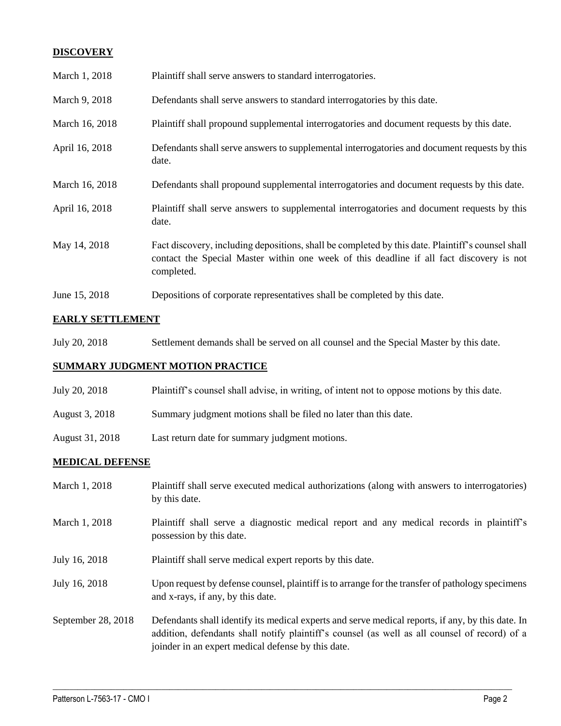## **DISCOVERY**

| March 1, 2018  | Plaintiff shall serve answers to standard interrogatories.                                                                                                                                                  |
|----------------|-------------------------------------------------------------------------------------------------------------------------------------------------------------------------------------------------------------|
| March 9, 2018  | Defendants shall serve answers to standard interrogatories by this date.                                                                                                                                    |
| March 16, 2018 | Plaintiff shall propound supplemental interrogatories and document requests by this date.                                                                                                                   |
| April 16, 2018 | Defendants shall serve answers to supplemental interrogatories and document requests by this<br>date.                                                                                                       |
| March 16, 2018 | Defendants shall propound supplemental interrogatories and document requests by this date.                                                                                                                  |
| April 16, 2018 | Plaintiff shall serve answers to supplemental interrogatories and document requests by this<br>date.                                                                                                        |
| May 14, 2018   | Fact discovery, including depositions, shall be completed by this date. Plaintiff's counsel shall<br>contact the Special Master within one week of this deadline if all fact discovery is not<br>completed. |
| June 15, 2018  | Depositions of corporate representatives shall be completed by this date.                                                                                                                                   |

## **EARLY SETTLEMENT**

July 20, 2018 Settlement demands shall be served on all counsel and the Special Master by this date.

## **SUMMARY JUDGMENT MOTION PRACTICE**

- July 20, 2018 Plaintiff's counsel shall advise, in writing, of intent not to oppose motions by this date.
- August 3, 2018 Summary judgment motions shall be filed no later than this date.
- August 31, 2018 Last return date for summary judgment motions.

### **MEDICAL DEFENSE**

| March 1, 2018      | Plaintiff shall serve executed medical authorizations (along with answers to interrogatories)<br>by this date.                                                                                                                                           |
|--------------------|----------------------------------------------------------------------------------------------------------------------------------------------------------------------------------------------------------------------------------------------------------|
| March 1, 2018      | Plaintiff shall serve a diagnostic medical report and any medical records in plaintiff's<br>possession by this date.                                                                                                                                     |
| July 16, 2018      | Plaintiff shall serve medical expert reports by this date.                                                                                                                                                                                               |
| July 16, 2018      | Upon request by defense counsel, plaintiff is to arrange for the transfer of pathology specimens<br>and x-rays, if any, by this date.                                                                                                                    |
| September 28, 2018 | Defendants shall identify its medical experts and serve medical reports, if any, by this date. In<br>addition, defendants shall notify plaintiff's counsel (as well as all counsel of record) of a<br>joinder in an expert medical defense by this date. |

 $\_$  ,  $\_$  ,  $\_$  ,  $\_$  ,  $\_$  ,  $\_$  ,  $\_$  ,  $\_$  ,  $\_$  ,  $\_$  ,  $\_$  ,  $\_$  ,  $\_$  ,  $\_$  ,  $\_$  ,  $\_$  ,  $\_$  ,  $\_$  ,  $\_$  ,  $\_$  ,  $\_$  ,  $\_$  ,  $\_$  ,  $\_$  ,  $\_$  ,  $\_$  ,  $\_$  ,  $\_$  ,  $\_$  ,  $\_$  ,  $\_$  ,  $\_$  ,  $\_$  ,  $\_$  ,  $\_$  ,  $\_$  ,  $\_$  ,